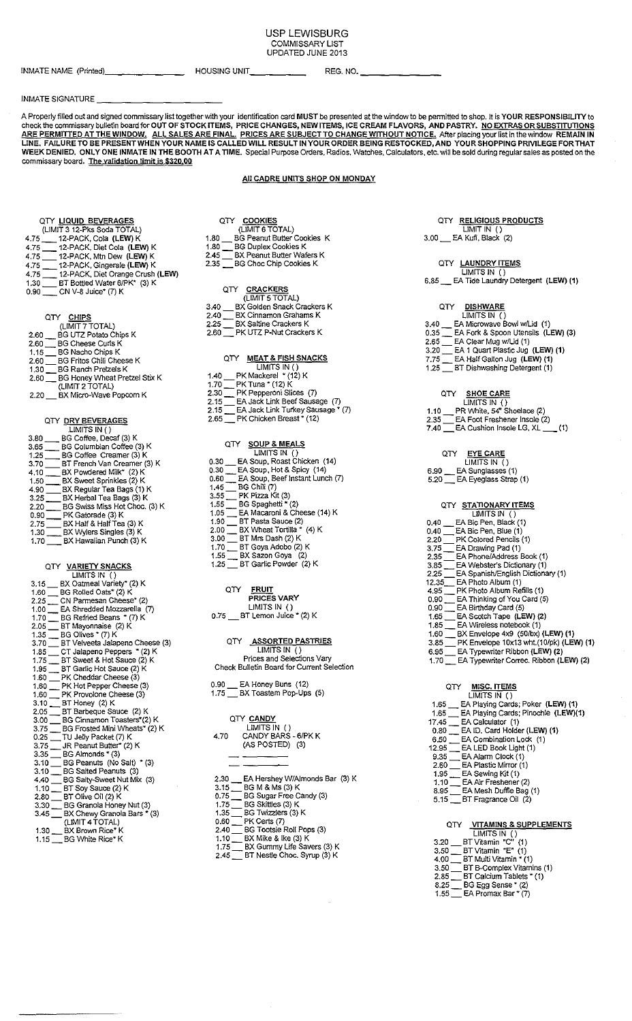#### USP LEWISBURG<br>COMMISSARY LIST COMMISSARY LIST UPDATED JUNE 2013

| INMATE NAME (Printed) |  |
|-----------------------|--|
|-----------------------|--|

INMATE NAME (Printed)> \_\_\_\_\_\_ \_ HOUSING UNIT \_\_\_\_ \_ REG. NO. \_\_\_\_\_\_ \_

#### INMATE SIGNATURE

**A Properly filled out and signed commissary list together with your identification card MUST be presented at the window to be pennitted to shop. It is YOUR RESPONSIBILITY to check the commissary bulletin board for OUT OF STOCK ITEMS, PRICE CHANGES, NEW ITEMS, ICE CREAM FLAVORS, AND PASTRY. NO EXTRAS OR SUBSTITUTIONS**  : **WJTHOUT NOTICE. After placing your list in the window REMAIN IN**  EING RESTOCKED, AND YOUR SHOPPING PRIVILEGE FOR THAT WEEK DENIED. ONLY ONE INMATE IN THE BOOTH AT A TIME. Special Purpose Orders, Radios, Watches, Calculators, etc. will be sold during regular sales as posted on the **commissary board. The validation limit is \$320 00.** 

#### All CADRE UNITS SHOP ON MONDAY

|            | QTY LIQUID BEVERAGES             |
|------------|----------------------------------|
|            | (LIMIT 3 12-Pks Soda TOTAL)      |
| $4.75$ $-$ | 12-PACK, Cola (LEW) K            |
| 4.75       | 12-PACK, Diet Cola (LEW) K       |
| 4.75       | 12-PACK, Mtn Dew (LEW) K         |
| 4.75       | 12-PACK, Gingerale (LEW) K       |
| 4.75       | 12-PACK, Diet Orange Crush (LEW) |
| 1.30       | BT Bottled Water 6/PK* (3) K     |
| 0.90       | CN V-8 Juice* (7) K              |

#### QTY CHIPS

|      | (LIMIT 7 TOTAL)                      |
|------|--------------------------------------|
| 2.60 | BG UTZ Potato Chips K                |
| 2.60 | <b>BG Cheese Curls K</b>             |
| 1.15 | <b>BG Nacho Chips K</b>              |
| 2.60 | <b>BG Fritos Chili Cheese K</b>      |
| 1.30 | <b>BG Ranch Pretzels K</b>           |
| 2.60 | <b>BG Honey Wheat Pretzel Stix K</b> |
|      | (LIMIT 2 TOTAL)                      |
| 2.20 | BX Micro-Wave Popcorn K              |
|      |                                      |

### QTY\_<u>DRY BEVERAGES</u><br>LIMITS IN ( )

| <b>LINILIOIN</b> U                    |
|---------------------------------------|
| BG Coffee, Decaf (3) K<br>3.80        |
| BG Columbian Coffee (3) K<br>3.65     |
| BG Coffee Creamer (3) K<br>1.25       |
| BT French Van Creamer (3) K<br>3.70   |
| BX Powdered Milk* (2) K<br>4.10       |
| BX Sweet Sprinkles (2) K<br>1.50      |
| BX Regular Tea Bags (1) K<br>4.90     |
| BX Herbal Tea Bags (3) K<br>3.25      |
| BG Swiss Miss Hot Choc. (3) K<br>2.20 |
| PK Gatorade (3) K<br>0.90             |
| BX Half & Half Tea (3) K<br>2.75      |
| BX Wylers Singles (3) K<br>1.30       |
| BX Hawaiian Punch (3) K<br>1.70       |

### QTY VARIETY SNACKS<br>LIMITS IN ()

| UIT<br><b>UUUNES</b><br>(LIMIT 6 TOTAL)<br>BG Peanut Butter Cookies K<br>1.80<br><b>BG Duplex Cookies K</b><br>1.80<br>BX Peanut Butter Wafers K<br>2.45<br><b>BG Choc Chip Cookies K</b><br>2.35 |
|---------------------------------------------------------------------------------------------------------------------------------------------------------------------------------------------------|
| QTY CRACKERS<br>(LIMIT 5 TOTAL)<br>BX Golden Snack Crackers K<br>3.40<br>BX Cinnamon Grahams K<br>2.40<br><b>BX Saltine Crackers K</b><br>2.25<br>PK UTZ P-Nut Crackers K<br>2.60                 |
| MEAT & FISH SNACKS                                                                                                                                                                                |

QTY COOKIES

|      | LIMITS IN ()                      |
|------|-----------------------------------|
| 1.40 | PK Mackerel * (12) K              |
| 1.70 | PK Tuna * (12) K                  |
| 2.30 | PK Pepperoni Slices (7)           |
| 2.15 | EA Jack Link Beef Sausage (7)     |
| 2.15 | EA Jack Link Turkey Sausage * (7) |
| 2.65 | PK Chicken Breast * (12)          |
|      |                                   |

| oтY | <b>SOUP &amp; MEALS</b> |
|-----|-------------------------|
|     | LIMITS IN ()            |

| EA Soup, Roast Chicken (14)<br>0.30     |
|-----------------------------------------|
| EA Soup, Hot & Spicy (14)<br>0.30       |
| EA Soup, Beef Instant Lunch (7)<br>0.60 |
| BG Chili (7)<br>1.45                    |
| PK Pizza Kit (3)<br>3.55                |
| BG Spaghetti * (2)<br>1.55              |
| EA Macaroni & Cheese (14) K<br>1.05     |
| BT Pasta Sauce (2)<br>1.90              |
| BX Wheat Tortilla * (4) K<br>2.00       |
| BT Mrs Dash (2) K<br>3.00               |
| BT Goya Adobo (2) K<br>1.70             |
| BX Sazon Goya (2)<br>1.55               |
| BT Garlic Powder (2) K<br>1.25          |
|                                         |
|                                         |
|                                         |

### QTY FRUIT<br>PRICES VARY LIMITS IN () **0.75 \_ BT Lemon Juice" (2) K**

QTY <u>ASSORTED PASTRIES</u><br>LIMITS IN ( ) **Prices and Selections Vary Check Bulletin Board for Current Selection** 

| 0.90 | EA Honey Buns (12)     |  |
|------|------------------------|--|
| 1.75 | BX Toastem Pop-Ups (5) |  |

|      | OTY CANDY           |
|------|---------------------|
|      | LIMITS IN ()        |
| 4.70 | CANDY BARS - 6/PK K |
|      | (AS POSTED) (3)     |

2.30 \_\_\_ EA Hershey W/Almonds Bar (3) K<br>3.15 \_\_\_ BG M & Ms (3) K **0.75 \_ BG Sugar Free Candy** (3) 1.75 \_\_\_ BG Skittles (3) K 1.35 \_ BG Twizzlers (3) K 0.60 \_ PK Gens (7)

- **2.40 \_ BG Tootsie Roll Pops (3)**  1.10\_BX Mike & Ike (3) K
- **1.75 \_ BX Gummy Life Savers (3) K**
- 2.45 \_ BT Nestle Choc. Syrup (3) K

### QTY RELIGIOUS PRODUCTS

LIMIT IN () 3.00 \_ EA Kufi, Black (2)

### QTY <u>LAUNDRY ITEMS</u><br>LIMITS IN ()

**6.85 \_ EA Tide Laundry Detergent (LEW) (1)** 

- QTY <u>DISHWARE</u><br>LIMITS IN () **3.40 \_ EA Microwave Bowl w/Ud (1)**
- 0.35 \_ EA Fork & Spoon Utensils (LEW) (3)
- **2.65 \_ EA Clear Mug w/Ud (1)**
- 3.20 \_ EA 1 Quart Plastic Jug (LEW) (1)
- 7.75 \_ EA Half Gallon Jug (LEW)(1)
- -

|      | LIMITS IN TH                   |  |
|------|--------------------------------|--|
| 1.10 | PR White, 54" Shoelace (2)     |  |
| 2.35 | EA Foot Freshener Insole (2)   |  |
| 7.40 | EA Cushion Insole LG, $XL$ (1) |  |

### QTY <u>EYE CARE</u><br>LIMITS IN ( )

| 6.90  | EA Sunglasses (1) |  |
|-------|-------------------|--|
| - - - | - .               |  |

| 5.20 |  |  | Let Exeglass Strap (1) Let Trap (1) |  |
|------|--|--|-------------------------------------|--|
|      |  |  |                                     |  |

### QTY <u>STATIONARY ITEMS</u><br>LIMITS IN ()

|       | LIVILI ƏHNI (I)                         |
|-------|-----------------------------------------|
| 0.40  | EA Bic Pen, Black (1)                   |
| 0.40  | EA Bic Pen, Blue (1)                    |
| 2.20  | PK Colored Pencils (1)                  |
| 3.75  | EA Drawing Pad (1)                      |
| 2.35  | EA Phone/Address Book (1)               |
| 3.85  | EA Webster's Dictionary (1)             |
| 2.25  | EA Spanish/English Dictionary (1)       |
| 12.35 | EA Photo Album (1)                      |
| 4.95  | PK Photo Album Refills (1)              |
| 0.90  | EA Thinking of You Card (5)             |
| 0.90  | EA Birthday Card (5)                    |
| 1.65  | EA Scotch Tape (LEW) (2)                |
| 1.85  | EA Wireless notebook (1)                |
| 1.60  | BX Envelope 4x9 (50/bx) (LEW) (1)       |
| 3.85  | PK Envelope 10x13 wht.(10/pk) (LEW) (1) |
| 6.95  | EA Typewriter Ribbon (LEW) (2)          |
| 1.70  | EA Typewriter Correc. Ribbon (LEW) (2)  |
|       |                                         |
|       |                                         |

| OTY<br><b>MISC. ITEMS</b>                   |
|---------------------------------------------|
| LIMITS IN ()                                |
| EA Playing Cards; Poker (LEW) (1)<br>1.65   |
| EA Plaving Cards: Pinochle (LEW)(1)<br>1.65 |
| EA Calculator (1)<br>17.45                  |
| EA ID, Card Holder (LEW) (1)<br>0.80        |
| EA Combination Lock (1)<br>6.50             |
| EA LED Book Light (1)<br>12.95              |
| EA Alarm Clock (1)<br>9.35                  |
| EA Plastic Mirror (1)<br>2.60               |
| EA Sewing Kit (1)<br>1.95                   |
| EA Air Freshener (2)<br>1.10                |
| EA Mesh Duffle Bag (1)<br>8.95              |
| BT Fragrance Oil (2)<br>5.15                |
|                                             |
|                                             |
| VITAMINS & SUPPLEMENTS<br>OΤY               |
| LIMITS IN ( )                               |

|      | __________         |  |
|------|--------------------|--|
| 3.20 | BT Vitamin "C" (1) |  |

- 3.50 \_ BT Vitamin "E" (1)
- 4.00 \_ BT Multi Vitamin (1)
- **3.50 \_ BT B-Complex Vitamins (1) 2.85 \_ BT Calcium Tablets\* (1)**
- 8.25 \_ BG Egg Sense' (2)
- **1.55 \_ EA Promax Bar\* (7)**
- **1 .25 \_ BT Dishwashing Detergent (1)** 
	- QTY <u>SHOE CARE</u><br>LIMITS IN ()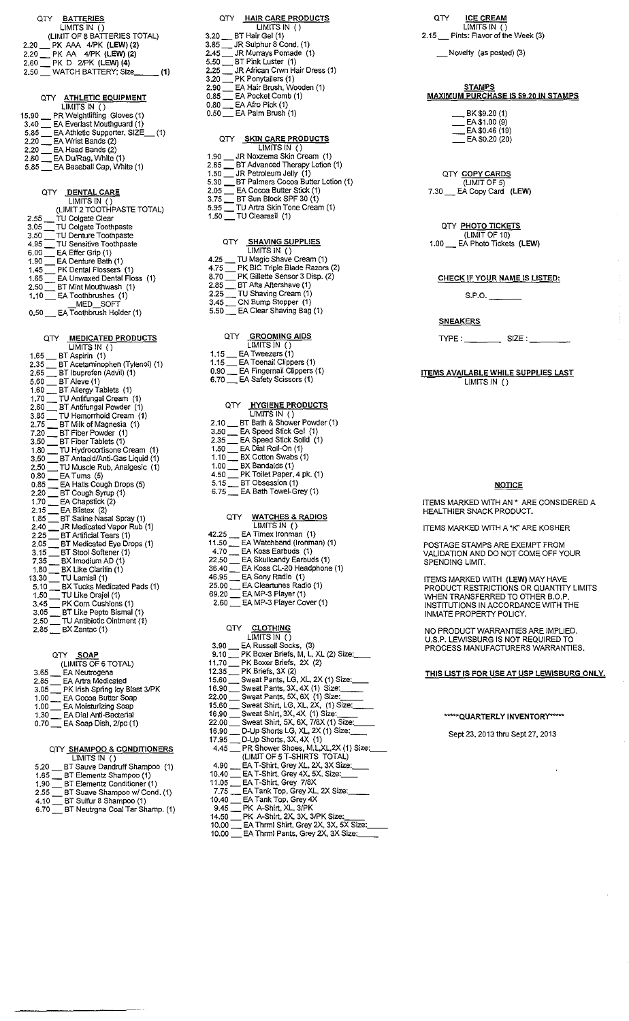### **QTY WATCHES & RADIOS**  LIMITS IN () **4.70 \_ EA Koss Earbuds (1) 22.50 \_ EA Skullcandy Earbuds {1)**  46.95 \_ EA Sony Radio (1) **25.00 \_ EA Cleartunes Radio (1)**  69.20 \_ EA MP-3 Player (1)

#### QTY <u>CLOTHING</u><br>LIMITS IN () 3.90 \_ EA Russell Socks, (3) **9.10\_PKBoxerBriefs, M, L,XL (2) Size: \_\_ 11.70 \_ PK Boxer Briefs, 2X (2)**  12.35 \_ PK Briefs, 3X (2) 12.35 \_\_ PK Briefs, 3A (2)<br>15.60 \_\_ Sweat Pants, LG, XL, 2X (1) Size:\_\_\_\_ 15.60 \_\_ Sweat Pants, LG, XL, 2X (1) Size: \_\_\_<br>16.90 \_\_ Sweat Pants, 3X, 4X (1) Size: \_\_\_\_\_ **22.00 \_Sweat Pants, 5X, 6X (1) Size: \_\_**  22.00 \_\_\_ Sweat Pants, 5X, 6X (1) Size:\_\_\_\_\_<br>15.60 \_\_\_ Sweat Shirt, LG, XL, 2X, (1) Size:\_\_\_\_\_ 15.60 \_\_\_ Sweat Shirt, LG, XL, 2X, (1) Size: \_\_<br>16.90 \_\_\_ Sweat Shirt, 3X, 4X (1) Size: \_\_\_\_\_ 16.90 \_\_\_ Sweat Shirt, 3X, 4X (1) Size:\_\_\_\_<br>22.00 \_\_\_ Sweat Shirt, 5X, 6X, 7/8X (1) Size:\_\_\_\_\_ 22.00 \_\_ Sweat Shirt, 3X, 6X, 7/6X (1) Size:\_\_\_<br>16.90 \_\_ D-Up Shorts LG, XL, 2X (1) Size:\_\_\_\_  $17.95$   $\Box$  D-Up Shorts, 3X, 4X (1) (LIMIT OF 5 T-SHIRTS TOTAL) **4.90 \_ EAT -Shirt, Grey XL. 2X, 3X Size: \_\_ 10.40 \_EAT-Shirt, Grey4X, 5X, Size: \_\_ 11.05 \_EAT-Shirt, Grey 7/8X**  1.05 \_\_\_ EA T-Shirt, Grey *7/*8X<br>7.75 \_\_\_ EA Tank Top, Grey XL, 2X Size:\_\_\_\_\_ **10.40 \_ EA Tank Top, Grey4X**  9.45 \_ PK A-Shirt, XL, 3/PK **14.50 \_\_ PK A-Shirt, XL, 3/PK<br>14.50 \_\_ PK A-Shirt, 2X, 3X, 3/PK Size:** \_\_\_\_\_

QTY ICE CREAM LIMITS IN  $\overline{()}$ **2.15 \_Pints: Flavor of the Week (3)** 

\_Novelty (as posted) (3)

# w <u>STAMPS</u><br>MAXIMUM PURCHASE IS \$9,20 IN STAMPS

 $\_$ BK \$9.20 (1) \_\_\_ EA \$1.00 (9)<br>\_\_\_ EA \$0.46 (19)  $-$  EA \$0.20 (20)

#### QTY COPY CARDS (LIMIT OF 5) 7.30 \_ EA Copy Card (LEW)

### QTY PHOTO TICKETS

(LIMIT OF 10) 1.00 \_ EA Photo Tickets (LEW)

#### **CHECK IF YOUR NAME IS LISTED:**

 $S.P.O.$ 

### **SNEAKERS**

 $TYPE:$  SIZE:

ITEMS AVAILABLE WHILE SUPPLIES LAST LIMITS IN ()

#### **NOTICE**

ITEMS MARKED WITH AN" ARE CONSIDERED A HEALTHIER SNACK PRODUCT.

ITEMS MARKED WITH A "K" ARE KOSHER

POSTAGE STAMPS ARE EXEMPT FROM VALIDATION AND DO NOT COME OFF YOUR SPENDING LIMIT.

ITEMS MARKED WITH (LEW) MAY HAVE PRODUCT RESTRICTIONS OR QUANTITY LIMITS WHEN TRANSFERRED TO OTHER B.O.P. INSTITUTIONS IN ACCORDANCE WITH THE INMATE PROPERTY POLICY.

NO PRODUCT WARRANTIES ARE IMPLIED. U.S.P. LEWISBURG IS NOT REQUIRED TO PROCESS MANUFACTURERS WARRANTIES.

#### THIS LIST IS FOR USE AT USP LEWISBURG ONLY.

#### \*\*\*\*\*QUARTERLY INVENTORY\*\*\*\*\*

Sept 23,2013 thru Sept27, 2013

## **1.30 EA Dial Anti-Bacterial**  1.00 \_\_\_ EA Cocoa Butter Soap<br>1.00 \_\_\_ EA Moisturizing Soap<br>1.30 \_\_\_ EA Dial Anti-Bacterial<br>0.70 \_\_\_ EA Soap Dish, 2/pc (1)

### QTY\_<u>SHAMPOO & CONDITIONERS</u><br>LIMITS IN ()

|      | _                               |
|------|---------------------------------|
| 5.20 | BT Sauve Dandruff Shampoo (1)   |
| 1.65 | BT Elementz Shampoo (1)         |
| 1.90 | BT Elementz Conditioner (1)     |
| 2.55 | BT Suave Shampoo w/ Cond. (1)   |
| 4.10 | BT Sulfur 8 Shampoo (1)         |
| 6.70 | BT Neutrgna Coal Tar Shamp. (1) |
|      |                                 |

| EA Hair Brush, Wooden (1)<br>2.90<br>0.85 EA Pocket Comb (1)<br>$0.80$ EA Afro Pick $(1)$<br>0.50 EA Palm Brush (1) |
|---------------------------------------------------------------------------------------------------------------------|
|                                                                                                                     |
| QTY SKIN CARE PRODUCTS<br>LIMITS IN ()                                                                              |
| 1.90 JR Noxzema Skin Cream (1)                                                                                      |
| 2.65 BT Advanced Therapy Lotion (1)                                                                                 |
| 1.50 JR Petroleum Jelly (1)                                                                                         |
| 5.30 BT Palmers Cocoa Butter Lotion (1)                                                                             |
| 2.05 EA Cocoa Butter Stick (1)                                                                                      |
| 3.75 BT Sun Block SPF 30 (1)                                                                                        |
| 5.95 TU Artra Skin Tone Cream (1)                                                                                   |
| 1.50 TU Clearasil (1)                                                                                               |
|                                                                                                                     |
| <b>SHAVING SUPPLIES</b>                                                                                             |
|                                                                                                                     |

QTY HAIR CARE PRODUCTS<br>LIMITS IN ()

3.20 \_ BT Hair Gel (1)  $3.85$   $\equiv$  JR Sulphur 8 Cond. (1) **2.45 \_JR Murrays Pomade (1)**  5.50 \_ BT Pink Luster (1) **2.25 \_ JR African Crwn Hair Dress (1)** 

3.20 \_ PK Ponytailers (1)

- LIMITS IN () **4.25 \_ TU Magic Shave Cream (1) 4.75 \_ PK BIC Triple Blade Razors (2) 8.70 \_ PK Gillette Sensor 3 Disp. (2}**  2.85 \_ BT Afta Aftershave (1) **2.25 \_ TU Shaving Cream (1)**
- 3.45 \_ CN Bump stopper (1) **5.50 \_ EA Clear Shaving Bag (1)** 
	- QTY <u>GROOMING AIDS</u><br>LIMITS IN ( )
- 1.15 \_ EA Tweezers (1) **1.15 \_ EA Toenail Clippers {1) 0.90 \_ EA Fingernail Clippers (1) 6.70 \_ EA Safety Scissors (1)** 
	- QTY <u>HYGIENE PRODUCTS</u><br>LIMITS IN ()
- **2.10 \_ BT Bath & Shower Powder (1)**  3.50 \_ EA Speed Stick Gel (1) 2.35 \_ EA Speed Stick Solid (1) 1.50 \_ EA Dial Roll-On (1) 1.10 \_ BX Cotton Swabs (1) 1.00 \_**\_\_ BX Bandaids (1)**<br>4.50 \_\_\_ PK Toilet Paper, 4 pk. (1)<br>5.15 \_\_\_ BT Obsession (1)
- **6.75 \_ EA Bath Towel-Grey (1}**
- **42.25 \_ EA Timex Jronman (1) 11.50 \_ EA Watchband (lronman) (1)**
- 
- 36.40 \_ EA Koss CL-20 Headphone (1)
- 
- 
- 2.60 \_ EA MP-3 Player Cover (1)

| 3.90 EA Russell Socks, (3)                      |
|-------------------------------------------------|
| 9.10 PK Boxer Briefs, M. L. XL (2) Size:        |
| 1.70 PK Boxer Briefs, 2X (2)                    |
| $2.35$ PK Briefs, $3X(2)$                       |
| 5.60 Sweat Pants, LG, XL, 2X (1) Size:          |
| 6.90 Sweat Pants, 3X, 4X (1) Size:              |
| 2.00 Sweat Pants, 5X, 6X (1) Size:              |
| 15.60 Sweat Shirt, LG, XL, 2X, (1) Size:___     |
| 16.90 Sweat Shirt, 3X, 4X (1) Size:             |
| ?2.00 ___ Sweat Shirt, 5X, 6X, 7/8X (1) Size:__ |
| 16.90 ___ D-Up Shorts LG, XL, 2X (1) Size: ___  |
| 17.95 D-Up Shorts, 3X, 4X (1)                   |
| 4.45 PR Shower Shoes, M.L.XL.2X (1) Size:       |
| (LIMIT OF 5 T-SHIRTS TOTAL)                     |
| 4.90 EA T-Shirt, Grev XL, 2X, 3X Size:          |
| 10.40   EA T-Shirt, Grey 4X, 5X, Size:          |
| 11.05 EA T-Shirt, Grey 7/8X                     |
| 7.75 EA Tank Top, Grey XL, 2X Size:             |
| 10.40 EA Tank Top, Grev 4X                      |
| 9.45 PK A-Shirt, XL, 3/PK                       |
| 14.50 PK A-Shirt, 2X, 3X, 3/PK Size:            |
| 10.00 EA Thrml Shirt, Grey 2X, 3X, 5X Size:     |
| 10.00 EA Thrml Pants, Grey 2X, 3X Size:         |
|                                                 |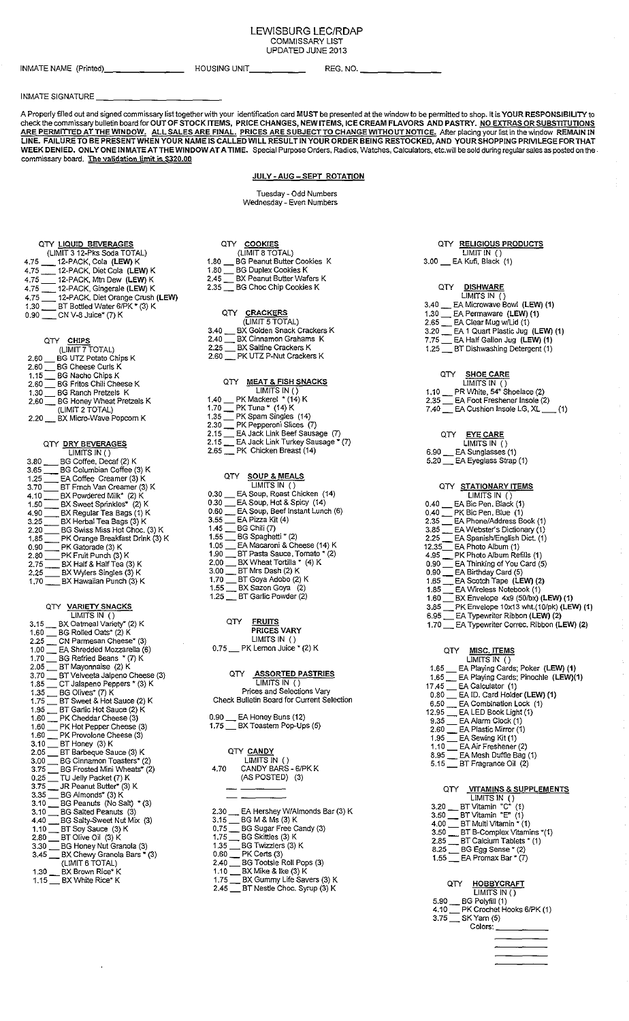#### LEWISBURG LEC/RDAP COMMISSARY LIST UPDATED JUNE 2013

INMATE NAME (Printed) \_\_\_\_\_\_ \_ HOUSING UNIT \_\_\_\_ \_ REG. NO.-------

#### INMATE SIGNATURE

A Properly filled out and signed commissary list together with your identification card MUST be presented at the window *to* be permitted to shop. It is YOUR RESPONSIBILITY to check the commissary bulletin board for OUT OF STOCK ITEMS, PRICE CHANGES, NEW ITEMS, ICE CREAM FLAVORS AND PASTRY. N<u>O EXTRAS OR SUBSTITUTI</u>ON<u>S</u> **EWITHOUT NOTICE.** After placing your list in the window REMAIN IN EING RESTOCKED, AND YOUR SHOPPING PRIVILEGE FOR THAT WEEK DENIED. ONLY ONE INMATEATTHEWINDOW AT A TIME. Special Purpose Orders, Radios, Watches, Calculators, etc.will be sold during regular sales as posted on the. commissary board. The validation limit is \$320.00

#### JULY-AUG-SEPT ROTATION

Tuesday- Odd Numbers Wednesday- Even Numbers

QTY LIQUID BEVERAGES (LIMIT 3 12-Pks Soda TOTAL) 4.75 \_12-PACK, Cola (LEW) K 4.75 \_\_ 12-PACK, Diet Cola (LEW) K<br>4.75 \_\_ 12-PACK. Mtn Dew (LEW) K 4.75 \_12-PACK. Mtn Dew (LEW) K 4.75 12-PACK, Gingerale (LEW) K 4.75 12-PACK, Diet Orange Crush (LEW) 1.30 \_ BT Bottled Water 6/PK • (3) K 0.90 \_\_\_ CN V-8 Juice\* (7) K

#### QTY <u>CHIPS</u>

| (LIMIT 7 TOTAL)                         |  |
|-----------------------------------------|--|
| BG UTZ Potato Chips K<br>2.60           |  |
| <b>BG Cheese Curls K</b><br>2.60        |  |
| BG Nacho Chips K<br>1.15                |  |
| <b>BG Fritos Chili Cheese K</b><br>2.60 |  |
| <b>BG Ranch Pretzels K</b><br>1.30      |  |
| BG Honey Wheat Pretzels K<br>2.60       |  |
| (LIMIT 2 TOTAL)                         |  |
| BX Micro-Wave Popcorn K<br>2.20         |  |

#### QTY DRY BEVERAGES

|      | LIMITS IN()                     |
|------|---------------------------------|
| 3.80 | BG Coffee, Decaf (2) K          |
| 3.65 | BG Columbian Coffee (3) K       |
| 1.25 | EA Coffee Creamer (3) K         |
| 3.70 | BT Frnch Van Creamer (3) K      |
| 4.10 | BX Powdered Milk* (2) K         |
| 1.50 | BX Sweet Sprinkles* (2) K       |
| 4.90 | BX Regular Tea Bags (1) K       |
| 3.25 | BX Herbai Tea Bags (3) K        |
| 2.20 | BG Swiss Miss Hot Choc. (3) K   |
| 1.85 | PK Orange Breakfast Drink (3) K |
| 0.90 | PK Gatorade (3) K               |
| 2.80 | PK Fruit Punch (3) K            |
| 2.75 | BX Half & Half Tea (3) K        |
| 2.25 | BX Wylers Singles (3) K         |
| 1.70 | BX Hawaiian Punch (3) K         |

### QTY <u>VARIETY SNACKS</u><br>LIMITS IN ()

|      | -                                      |
|------|----------------------------------------|
|      | 3.15 BX Oatmeal Variety* (2) K         |
|      | 1.60 BG Rolled Oats* (2) K             |
|      | 2.25 CN Parmesan Cheese* (3)           |
|      | 1.00 _ EA Shredded Mozzarella (6)      |
|      | 1.70 BG Refried Beans * (7) K          |
|      | 2.05 __ BT Mayonnaise (2) K            |
|      | 3.70 __ BT Velveeta Jalpeno Cheese (3) |
|      | 1,85 CT Jalapeno Peppers * (3) K       |
|      | 1.35 __ BG Olives* (7) K               |
|      | 1.75 BT Sweet & Hot Sauce (2) K        |
|      | 1.95 __ BT Garlic Hot Sauce (2) K      |
|      | 1.60 PK Cheddar Cheese (3)             |
| 1.60 | PK Hot Pepper Cheese (3)               |
|      | 1.60 PK Provolone Cheese (3)           |
|      | 3.10 BT Honey (3) K                    |
|      | 2.05 __ BT Barbeque Sauce (3) K        |
|      | 3.00 BG Cinnamon Toasters* (2)         |
| 3.75 | BG Frosted Mini Wheats* (2)            |
|      | 0.25 __ TU Jelly Packet (7) K          |
|      | 3.75 __ JR Peanut Butter* (3) K        |
|      | 3.35 __ BG Almonds* (3) K              |
|      | 3.10 BG Peanuts (No Salt) * (3)        |
|      | 3.10 BG Salted Peanuts (3)             |
|      | 4.40 __ BG Salty-Sweet Nut Mix (3)     |
|      | 1.10 __ BT Soy Sauce (3) K             |
|      | 2.80 __ BT Olive Oil (3) K             |
|      | 3.30 BG Honey Nut Granola (3)          |
|      | 3.45 BX Chewy Granola Bars * (3)       |
|      | (LIMIT 6 TOTAL)                        |
|      | 1.30 __ BX Brown Rice* K               |
| 1.15 | BX White Rice* K                       |

|       | QTY COOKIES                       |
|-------|-----------------------------------|
|       | (LIMIT 8 TOTAL)                   |
| 1.80  | <b>BG Peanut Butter Cookies K</b> |
| 1.80  | <b>BG Duplex Cookies K</b>        |
| 2.45. | BX Peanut Butter Wafers K         |

2.35 \_ BG Choc Chip Cookies K

#### QTY CRACKERS

|      | (LIMIT 5 TOTAL)                 |
|------|---------------------------------|
| 3.40 | BX Golden Snack Crackers K      |
| 2.40 | BX Cinnamon Grahams K           |
| 2.25 | BX Saltine Crackers K           |
|      | 2.60 __ PK UTZ P-Nut Crackers K |
|      |                                 |

#### QTY MEAT & FISH SNACKS

| . .<br>$100 - 100$                        |
|-------------------------------------------|
| LIMITS IN ()                              |
| PK Mackerel * (14) K<br>1.40              |
| PK Tuna * (14) K<br>1.70                  |
| PK Spam Singles (14)<br>1.35              |
| PK Pepperoni Slices (7)<br>2.30           |
| EA Jack Link Beef Sausage (7)<br>2.15     |
| EA Jack Link Turkey Sausage * (7)<br>2.15 |
| PK Chicken Breast (14)<br>2.65            |
|                                           |

#### QTY SOUP & MEALS

| LIMITS IN $($ $)$                       |
|-----------------------------------------|
| EA Soup, Roast Chicken (14)<br>0.30     |
| EA Soup, Hot & Spicy (14)<br>0.30       |
| EA Soup, Beef Instant Lunch (6)<br>0.60 |
| EA Pizza Kit (4)<br>3.55                |
| BG Chili (7)<br>1.45                    |
| BG Spaghetti * (2)<br>1.55              |
| EA Macaroni & Cheese (14) K<br>1.05     |
| BT Pasta Sauce, Tomato * (2)<br>1.90    |
| BX Wheat Tortilla * (4) K<br>2.00       |
| BT Mrs Dash (2) K<br>3.00               |
| BT Goya Adobo (2) K<br>1.70             |
| BX Sazon Goya (2)<br>1.55               |
| BT Garlic Powder (2)<br>1.25            |
|                                         |

| oтy | <b>FRUITS</b>      |
|-----|--------------------|
|     | <b>PRICES VARY</b> |
|     | LIMITS IN ()       |

| $0.75\_\_$ | PK Lemon Juice * (2) K |  |  |
|------------|------------------------|--|--|
|            |                        |  |  |

### QTY **ASSORTED PASTRIES**

LIMITS IN () Prices and Selections Vary Check Bulletin Board for Current Selection

#### 0.90 \_ EA Honey Buns (12)

|  | 1.75 BX Toastem Pop-Ups (5) |  |
|--|-----------------------------|--|
|  |                             |  |

| QTY CANDY    |  |
|--------------|--|
| LIMITS IN () |  |

| 4.70 | CANDY BARS - 6/PK K |  |
|------|---------------------|--|
|      | (AS POSTED) (3)     |  |
|      |                     |  |

- 2.30 \_ EA Hershey W/Almonds Bar (3) K
- 3.15 \_\_ BG M & Ms (3) K<br>0.75 \_\_ BG Sugar Free Candy (3)<br>1.75 \_\_ BG Skittles (3) K
- 
- 1.35 \_ BG Twizzlers (3) K
- 0.60 \_ PK Certs (3)
- 2.40 \_ BG Tootsie Roll Pops (3)
- 1.10 \_BXMike & Ike (3) K 1.75 \_ BX Gummy Life Savers (3) K
- 2.45 \_ BT Nestle Choc. Syrup (3) K

#### QTY RELIGIOUS PRODUCTS LIMIT IN  $()$

3.00 \_ EA Kufi. Black (1)

### QTY <u>DISHWARE</u><br>LIMITS IN ()

- 3.40 \_ EA Microwave Bowl (LEW) (1) 1.30 \_ EA Permaware (LEW) (1) 2.65 \_ EA Clear Mug w/Lid (1) 3.20 \_ EA 1 Quart Plastic Jug (LEW) (1) 7.75 \_ EA Half Gallon Jug (LEW) (1) 1.25 \_ BT Dishwashing Detergent (1)
	- QTY <u>SHOE CARE</u><br>LIMITS IN ()
- 1.10 \_ PR White, 54" Shoelace (2)
- 
- 2.35 \_\_\_ EA Foot Freshener Insole (2)<br>7.40 \_\_\_ EA Cushion Insole LG, XL \_\_\_\_ (1)
	- QTY <u>EYE CARE</u><br>LIMITS IN ()
- 6.90 \_ EA Sunglasses (1)  $5.20$   $\equiv$  EA Eyeglass Strap (1)
- 

### QTY STATIONARY ITEMS<br>LIMITS IN ()

| EA Bic Pen, Black (1)<br>0.40                   |
|-------------------------------------------------|
| 0.40<br>PK Bic Pen, Blue (1)                    |
| 2.35<br>EA Phone/Address Book (1)               |
| 3.85<br>EA Webster's Dictionary (1)             |
| 2.25<br>EA Spanish/English Dict. (1)            |
| 12.35 EA Photo Album (1)                        |
| 4.95<br>PK Photo Album Refills (1)              |
| 0.90<br>EA Thinking of You Card (5)             |
| EA Birthday Card (5)<br>0.90                    |
| EA Scotch Tape (LEW) (2)<br>1.65                |
| EA Wireless Notebook (1)<br>1.85                |
| BX Envelope 4x9 (50/bx) (LEW) (1)<br>1.60       |
| PK Envelope 10x13 wht.(10/pk) (LEW) (1)<br>3.85 |
| 6.95<br>EA Typewriter Ribbon (LEW) (2)          |
| EA Typewriter Correc, Ribbon (LEW) (2)<br>1.70  |
|                                                 |
|                                                 |
| MISC. ITEMS<br>QTY.                             |
| LIMITS IN $()$                                  |
| EA Playing Cards; Poker (LEW) (1)<br>1.65       |

- 
- 1.65 \_ EA Playing Cards; Pinochle {LEW}(1) 17.45 \_ EA Calculator (1)
- 0.80 \_ EA ID. Card Holder (LEW) (1)
- $6.50$   $\qquad$  EA Combination Lock (1)<br>12.95  $\qquad$  EA LED Book Light (1)
- 12.95 \_ EA LED Book Light (1) 9.35\_ EAAiarm Clock (1)
- 
- 
- 2.60 \_\_\_ EA Plastic Mirror (1)<br>1.95 \_\_ EA Sewing Kit (1)<br>1.10 \_\_\_ EA Air Freshener (2)
- 8.95 \_ EA Mesh Duffie Bag (1)
- 5.15 \_\_ BT Fragrance Oil (2)

### QTY <u>VITAMINS & SUPPLEMENTS</u><br>LIMITS IN ()

- 3.20 \_ BT Vitamin "C" (1)
- 3.50\_BTVitamin "E" (1)
- 4.00 \_ BT Multi Vitamin" (1)
- 3.50 \_ BT B-Complex Vitamins "(1}
- 2.85 \_ BT Calcium Tablets\* (1) 8.25 \_ BG Egg Sense • (2)
- 1.55 \_ EA Promax Bar\* (J)

### QTY HOBBYCRAFT

|      | LIMITS IN ( )             |
|------|---------------------------|
| 5.90 | BG Polyfill (1)           |
| 4.10 | PK Crochet Hooks 6/PK (1) |
| 3.75 | SK Yarn (5)               |
|      | Colors:                   |
|      |                           |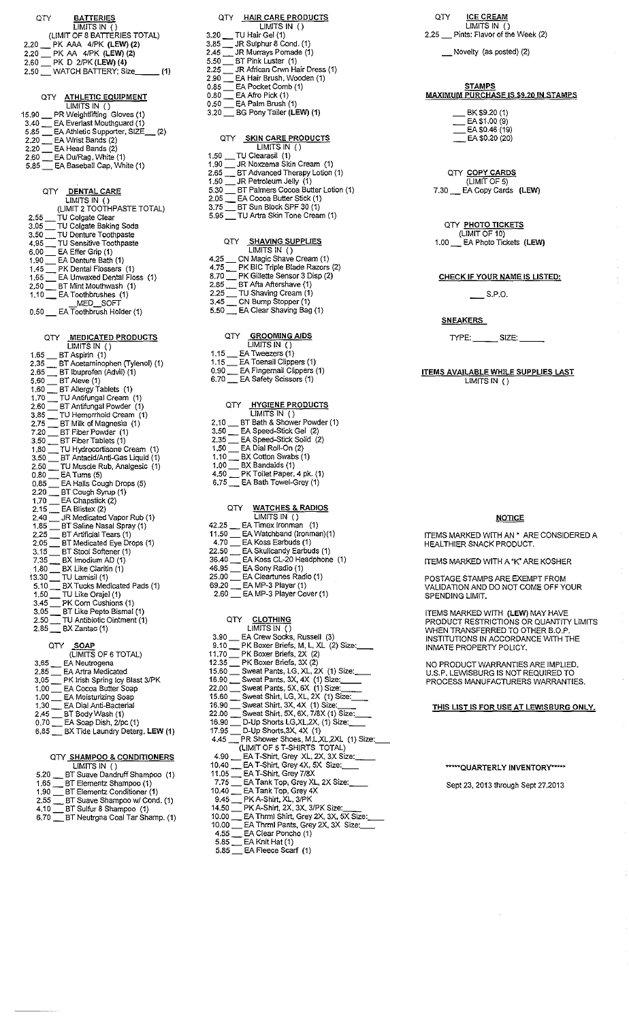| <b>BATTERIES</b><br>QTY<br>$\overline{LIMITS}$ IN ()                                                                                                                                                                                         |
|----------------------------------------------------------------------------------------------------------------------------------------------------------------------------------------------------------------------------------------------|
| (LIMIT OF 8 BATTERIES TOTAL)                                                                                                                                                                                                                 |
| 2.20 PK AAA 4/PK (LEW) (2)<br>2.20 PK AA 4/PK (LEW) (2)<br>2.60 PK D 2/PK (LEW) (4)<br>2.50 WATCH BATTERY; Size_______ (1)                                                                                                                   |
|                                                                                                                                                                                                                                              |
| OTY ATHLETIC EQUIPMENT                                                                                                                                                                                                                       |
| $\overline{LIMITS}$ IN $\overline{()}$<br>15.90 PR Weightlifting Gloves (1)                                                                                                                                                                  |
| 3.40 EA Everlast Mouthguard (1)<br>5.85 EA Athletic Supporter, SIZE (2)<br>2.20 EA Wrist Bands (2)                                                                                                                                           |
| $2.20$ $\equiv$ EA Head Bands (2)<br>2.60 $\equiv$ EA Du/Rag, White (1)                                                                                                                                                                      |
| 5.85 EA Baseball Cap, White (1)                                                                                                                                                                                                              |
| QTY DENTAL CARE                                                                                                                                                                                                                              |
| LIMITS IN ()<br>(LIMIT 2 TOOTHPASTE TOTAL)                                                                                                                                                                                                   |
| (LIMIT 2 TOOTHPASTE TOTA<br>2.55 — TU Colgate Clear<br>3.50 — TU Colgate Baking Soda<br>3.50 — TU Denture Toothpaste<br>4.95 — TU Sensitive Toothpaste<br>6.00 — EA Effer Grip (1)<br>1.90 — EA Universed Dental Flossers<br>1.65 — EA Unive |
|                                                                                                                                                                                                                                              |
|                                                                                                                                                                                                                                              |
|                                                                                                                                                                                                                                              |
|                                                                                                                                                                                                                                              |
| $2.50$ $\qquad$ BT Mint Mouthwash (1)<br>$1.10$ EA Toothbrushes (1)                                                                                                                                                                          |
| $MED$ SOFT<br>0.50 EA Toothbrush Holder (1)                                                                                                                                                                                                  |
|                                                                                                                                                                                                                                              |
| QTY MEDICATED PRODUCTS<br>LIMITS IN()                                                                                                                                                                                                        |
| 1.65 BT Aspirin (1)<br>2.35 BT Acetaminophen (Tylenol) (1)                                                                                                                                                                                   |
| 2.65 BT Ibuprofen (Advil) (1)                                                                                                                                                                                                                |
| $5.60$ ET Aleve (1)                                                                                                                                                                                                                          |
| $1.80$ = BT Allergy Tablets (1)<br>1.70 = TU Antifungal Cream (1)<br>2.60 = BT Antifungal Powder (1)<br>3.85 = TU Hemorrhold Cream (1)<br>2.75 = BT Milk of Magnesia (1)                                                                     |
|                                                                                                                                                                                                                                              |
|                                                                                                                                                                                                                                              |
| 7.20 BT Fiber Powder (1)<br>3.50 BT Fiber Tablets (1)<br>1.80 BT Hydrocortisone Cream (1)<br>2.50 BT Appoid/Apti-Cas Liquid (1)                                                                                                              |
| 3.50<br>BT Antacid/Anti-Gas Liquid (1)                                                                                                                                                                                                       |
| TU Muscle Rub, Analgesic (1)<br>2.50 TU Muscle Rup, Analyson<br>0.80 TEA Tums (5)<br>0.85 TEA Halls Cough Drops (5)<br>0.85 TEA Halls Cough Drops (5)                                                                                        |
|                                                                                                                                                                                                                                              |
| 2.20 BT Cough Syrup (1)<br>1.70 $\qquad \qquad$ EA Chapstick (2)<br>2.15 $\qquad$ EA Blistex (2)                                                                                                                                             |
|                                                                                                                                                                                                                                              |
| 2.40 Find Medicated Vapor Rub (1)<br>1.85 FIT Saline Nasal Spray (1)<br>2.25 FIT Artificial Tears (1)                                                                                                                                        |
|                                                                                                                                                                                                                                              |
| 2.05 BT Medicated Eye Drops (1)<br>3.15 BT Stool Softener (1)<br>7.35 BX Imodium AD (1)                                                                                                                                                      |
| $1.80$ $-$<br>$\overline{\phantom{a}}$ BX Like Claritin (1)                                                                                                                                                                                  |
| 13.30 $\rightarrow$ TU Lamisil (1)<br>5.10 $\rightarrow$ BX Tucks Medicated Pads (1)<br>1.50 $\rightarrow$ TU Like Orajel (1)<br>3.45 $\rightarrow$ PK Corn Cushions (1)<br>3.05 $\rightarrow$ BT Like Pepto Bismal (1)                      |
|                                                                                                                                                                                                                                              |
| TU Antibiotic Ointment (1)<br>$2.50-$                                                                                                                                                                                                        |
| 2.85 __ BX Zantac (1)                                                                                                                                                                                                                        |
| SOAP<br>OTY .<br>(LIMITS OF 6 TOTAL)                                                                                                                                                                                                         |
| 3.65 __ EA Neutrogena<br>2.85 __ EA Artra Medicated                                                                                                                                                                                          |
| 3.05 PK Insh Spring Icy Blast 3/PK<br>1.00 EA Cocoa Butter Soap                                                                                                                                                                              |
| 1.00 EA Moisturizing Soap                                                                                                                                                                                                                    |
| 1.30 EA Dial Anti-Bacterial<br>2.45 BT Body Wash (1)<br>0.70 BA Soap Dish, 2/pc (1)                                                                                                                                                          |
| 6.85 BX Tide Laundry Deterg, LEW (1)                                                                                                                                                                                                         |
|                                                                                                                                                                                                                                              |
|                                                                                                                                                                                                                                              |

|      | LIMITS IN ()                    |
|------|---------------------------------|
| 5.20 | BT Suave Dandruff Shampoo (1)   |
| 1.65 | BT Elementz Shampoo (1)         |
| 1.90 | BT Elementz Conditioner (1)     |
| 2.55 | BT Suave Shampoo w/ Cond. (1)   |
| 4.10 | BT Sulfur 8 Shampoo (1)         |
| 6.70 | BT Neutrgna Coal Tar Shamp. (1) |

| LIMITS IN ()<br>3.20 TU Hair Gel (1)<br>3.85 JR Sulphur 8 Cond. (1)<br>2.45 JR Murrays Pomade (1)<br>5.50 BT Pink Luster (1)<br>2.25 BT Pink Luster (1)<br>2.90 BEA Hair Brush, Wooden (1)<br>0.85 BEA Pocket (20mb (1)<br>0.85 BEA Afra Bick (1)<br>0.80 EA Afro Pick (1)<br>0.50 EA Palm Brush (1)<br>3.20 BG Pony Tailer (LEW) (1)                        |
|--------------------------------------------------------------------------------------------------------------------------------------------------------------------------------------------------------------------------------------------------------------------------------------------------------------------------------------------------------------|
| <b>SKIN CARE PRODUCTS</b><br>QTY I<br>LIMITS IN()<br>1.50 TU Clearasil (1)<br>1.90 TR Noxzema Skin Cream (1)<br>1.90 ___ JK Noxzema Skin Cream (1)<br>2.65 ___ BT Advanced Therapy Lotion (1)<br>1.50 ___ JR Petroleum Jelly (1)<br>5.30 ___ BT Palmers Cocoa Butter Lotion (1)<br>2.05 ___ EA Cocoa Butter Stick (1)<br>3.75 ___ BT Sun Block SPF 30 (      |
| QTY SHAVING SUPPLIES<br>LIMITS IN()<br>4.25 ___ CN Magic Shave Cream (1)<br>4.75 ___ PK BIC Triple Blade Razors (2)<br>8.70 ___ PK Gillette Sensor 3 Disp (2)<br>2.85 ___ BT Afta Aftershave (1)<br>2.25 ___ TU Shaving Cream (1)<br>3.45 ___ CN Bump Stopper (1)<br>5.50 ___ EA Clear                                                                       |
| QTY <b>GROOMING AIDS</b><br>LIMITS IN()<br>1.15 __ EA Tweezers (1)<br>1.15 __ EA Toenail Clippers (1)<br>0.90 __ EA Fingernail Clippers (1)<br>6.70 EA Safety Scissors (1)                                                                                                                                                                                   |
| QTY <b>HYGIENE PRODUCTS</b><br>$LIMITS IN$ ()<br>2,10 ___ BT Bath & Shower Powder (1)<br>3.50 ___ EA Speed-Stick Gel (2)<br>2.35 ___ EA Speed-Stick Gel (2)<br>1.50 ___ EA Dial Roll-On (2)<br>1.10 ___ BX Cotton Swabs (1)<br>1.00 ___ BX Bandaids (1)<br>4.50 __________________________<br>4.50 PK Toilet Paper, 4 pk. (1)<br>6.75 Le Bath Towel-Grey (1) |
| OTY WATCHES & RADIOS<br>LIMITS IN()<br>42.25 __ EA Timex Ironman (1)<br>11.50 __ EA Watchband (Ironman)(1)<br>4.70 EA Koss Earbuds (1)                                                                                                                                                                                                                       |

QTY HAIR CARE PRODUCTS

| 11.50 | EA Watchband (Ironman)(1) |
|-------|---------------------------|
| 4.70  | EA Koss Earbuds (1)       |
| 22.50 | EA Skullcandy Earbuds (1) |

- **36.40 \_ EA Kess CL-20 Headphone (1)**
- 46.95 \_ EA Sony Radio (1)
- **25.00 \_ EA Cleartunes Radio (1)**
- 69.20 \_ EA MP-3 Player (1)
- **2.60 \_ EA MP-3 Player Cover {1)**

### QTY <u>CLOTHING</u><br>LIMITS IN ( )

| LIMITS IN ( )                                     |
|---------------------------------------------------|
| 3.90 EA Crew Socks, Russell (3)                   |
| 9.10 PK Boxer Briefs, M, L, XL (2) Size:          |
| 11.70 PK Boxer Briefs, 2X (2)                     |
| $12.35$ PK Boxer Briefs, $3X(2)$                  |
| 15.60 Sweat Pants, LG, XL, 2X (1) Size:           |
| 16.90 Sweat Pants, 3X, 4X (1) Size:               |
| 22.00 Sweat Pants, 5X, 6X (1) Size:               |
| 15.60 Sweat Shirt, LG, XL, 2X (1) Size:           |
| 16.90 Sweat Shirt, 3X, 4X (1) Size:               |
| 22.00 ___ Sweat Shirt, 5X, 6X, 7/8X (1) Size:____ |
| 16.90 ___ D-Up Shorts LG,XL,2X, (1) Size:___      |
| 17.95 __ D-Up Shorts, 3X, 4X (1)                  |
| 4.45 PR Shower Shoes, M,L,XL,2XL (1) Size:        |
| (LIMIT OF 5 T-SHIRTS TOTAL)                       |
| 4.90 __ EA T-Shirt, Grey XL, 2X, 3X Size: ___     |
| 10,40 EA T-Shirt, Grey 4X, 5X Size:               |
| 11.05 EA T-Shirt, Grey 7/8X                       |
| 7.75 EA Tank Top, Grev XL, 2X Size:               |
| 10.40 EA Tank Top, Grey 4X                        |
| 9.45 PK A-Shirt, XL, 3/PK                         |
| 14.50 PK A-Shirt, 2X, 3X, 3/PK Size:              |
| 10.00 EA Thrml Shirt, Grey 2X, 3X, 5X Size:       |
| 10.00 EA Thrml Pants, Grey 2X, 3X Size:           |
| 4.55 EA Clear Poncho (1)                          |
| 5.85 EA Knit Hat (1)                              |

5.85 \_ EA Fleece Scarf (1)

- QTY **ICE CREAM**<br>LIMITS IN ()<br>2.25 Pints: Flavor of the Week (2)
	- - \_Novelty (as posted) (2)

## **MAXIMUM PURCHASE IS \$9.20 IN STAMPS**

\_ BK\$9.20 (1) \_\_\_\_ EA \$1.00 (9)<br>\_\_\_\_ EA \$0.46 (19)<br>\_\_\_ EA \$0.20 (20)

#### QTY COPY CARDS (LIMIT OF 5) 7.30 \_ EA Copy Cards (LEW)

#### QTY PHOTO TICKETS (LIMIT OF 10)

1.00 \_ EA Photo Tickets (LEW)

#### CHECK IF YOUR NAME IS LISTED:

S.P.O.

#### **SNEAKERS**

TYPE: SIZE:

## ITEMS AVAILABLE WHILE SUPPLIES LAST LIMITS IN ()

#### **NOTICE**

ITEMS MARKED WITH AN • ARE CONSIDERED A HEALTHIER SNACK PRODUCT.

ITEMS MARKED WITH A "K' ARE KOSHER

POSTAGE STAMPS ARE EXEMPT FROM VALIDATION AND DO NOT COME OFF YOUR SPENDING LIMIT.

ITEMS MARKED WITH (LEW) MAY HAVE PRODUCT RESTRICTIONS OR QUANTITY LIMITS WHEN TRANSFERRED TO OTHER B.O.P. INSTITUTIONS IN ACCORDANCE WITH THE INMATE PROPERTY POLICY.

NO PRODUCT WARRANTIES ARE IMPLIED. U.S.P. LEWISBURG IS NOT REQUIRED TO PROCESS MANUFACTURERS WARRANTIES.

#### THIS LISTIS FOR USE AT LEWISBURG ONLY.

#### \*\*\*\*\*QUARTERLY INVENTORY\*\*\*\*\*

**Sept 23, 2013 through Sept 27,2013**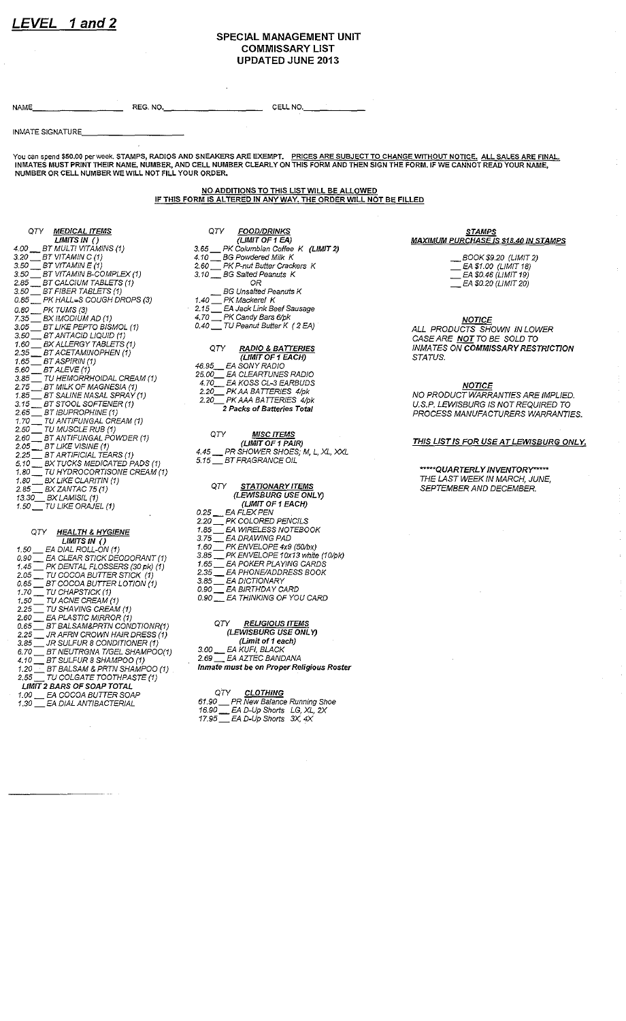#### **SPECIAL MANAGEMENT UNIT COMMISSARY LIST UPDATED JUNE 2013**

NAME \_\_\_\_\_\_\_\_\_\_\_\_\_\_ \_\_\_ REG. NO •. \_\_\_\_\_\_\_\_\_\_\_\_\_\_\_ \_ CELL NO. \_\_\_\_\_\_\_\_\_\_ \_

INMATE SIGNATURE

**You can spend \$50.00 per week. STAMPS, RADIOS AND SNEAKERS ARE EXEMPT. PRICES ARE SUBJECT TO CHANGE WITHOUT NOTICE. ALL SALES ARE FINAL INMATES MUST PRINT THEIR NAME, NUMBER, AND CELL NUMBER CLEARLY ON THIS FORM AND THEN SIGN THE FORM. IF WE CANNOT READ YOUR NAME, NUMBER OR CELL NUMBER WE WILL NOT FILL YOUR ORDER.** 

> NO ADDITIONS TO THIS LIST WILL BE ALLOWED IF THIS FORM IS ALTERED IN ANY WAY. THE ORDER WILL NOT BE FILLED

QTY <u>MEDICAL ITEMS</u><br>LIMITS IN () 4.00 \_\_ BT MULTI VITAMINS (1)  $3.20$   $\_$  BT VITAMIN C (1) 3.50 \_\_ BT VITAMIN E (1) 3.50 \_\_ BT VITAMIN B-COMPLEX (1} 2.85 \_\_ BT CALCIUM TABLETS (1) 3.50 \_\_ BT FIBER TABLETS (1) 0.85 \_\_ PK HALL·S COUGH DROPS (3) 0.80 \_\_ PK TUMS (3) 7.35 \_\_ BX IMODIUM AD (1) 3.05 \_\_ BT LIKE PEPTO BISMOL (1) 3.50 \_\_ BT ANTACID LIQUID (1) 1.60 \_\_ BX ALLERGY TABLETS (1) 2.35 \_\_ BT ACETAMINOPHEN (1) 1.65  $\equiv$  BT ASPIRIN (1) 5.60 \_\_ BT ALEVE (1) 3.85 \_\_ TU HEMORRHOIDAL CREAM (1)<br>2.75 \_\_ BT MILK OF MAGNESIA (1)<br>1.85 \_\_ BT SALINE NASAL SPRAY (1) 3.15 \_\_ BT STOOL SOFTENER (1) 2.65 \_\_ BT IBUPROPHINE (1) 1. 70 \_\_ TU ANTIFUNGAL CREAM (1) 2.50 \_\_ TU MUSCLE RUB (1) 2.60 \_\_ BT ANTIFUNGAL POWDER (1)  $2.05$   $\_$  BT LIKE VISINE (1) 2.25 \_\_ BT ARTIFICIAL TEARS (1) 5. 10 \_\_ BX TUCKS MEDICA TED PADS (1) 1.80 \_\_ TU HYDROCORTISONE CREAM (1) 1.80 \_\_ BX LIKE CLARITIN (1)  $2.85 - B \times Z$ ANTAC 75 (1) 13.30\_\_\_ BX LAMISIL (1) 1.50  $\Box$  TU LIKE ORAJEL (1) QTY <u>HEALTH & HYGIENE</u><br>LIMITS IN ( ) 1.50 \_\_ EA DIAL ROLL-ON (1) 0.90 \_\_ EA CLEAR STICK DEODORANT (1) 1.45 \_\_ PK DENTAL FLOSSERS (30 pk) (1) 2.05 \_\_ TU COCOA BUTTER STICK (1) 0.65 \_\_ BT COCOA BUTTER LOTION (1) 1.70  $\equiv$  TU CHAPSTICK (1) 1.50 \_ TU ACNE CREAM (1) 2.25 \_\_\_ TU SHAVING CREAM (1)<br>2.60 \_\_\_ EA PLASTIC MIRROR (1) 0.65 \_\_ BT BALSAM&PRTN CONDTIONR(1) 2.25 \_\_ JR AFRN CROWN HAIR DRESS (1) 3.85  $\equiv$  JR SULFUR 8 CONDITIONER (1) 3.85 \_\_ JR SULFUR 8 CONDITIONER (1)<br>6.70 \_\_ BT NEUTRGNA T/GEL SHAMPOO(1)<br>4.10 \_\_ BT SULFUR 8 SHAMPOO (1)

- 4.10  $\equiv$  BT SULFUR 8 SHAMPOO (1)
- 1.20 \_\_ BT BALSAM & PRTN SHAMPOO (1)
- 2.55  $\Box$  TU COLGATE TOOTHPASTE (1)
- LIMIT 2 BARS OF SOAP TOTAL 1 00 \_\_ EA COCOA BUTTER SOAP
- 1.30 EA DIAL ANTIBACTERIAL

**3. 65 \_ PK Columbian Coffee K (LIMIT 2) 4. 10 \_ BG Powdered Milk K 2. 60 \_ PK P-nut Butter Crackers K 3,10 \_ BG Salted Peanuts K**  OR **BG Unsalted Peanuts K 1.40 \_ PK Mackerel K 2.15 \_ EA Jack Link Beef Sausage 4. 70 \_ PK Candy Bars 6/pk**  0.40 \_\_ TU Peanut Butter K ( 2 EA) QTY RADIO & BATTERIES (LIMIT OF 1 EACH) 46.95 \_\_ EA SONY RADIO 25.00 \_\_ EA CLEARTUNES RADIO 4.70 \_\_ EA KOSS CL-3 EARBUDS

QTY FOOD/DRINKS<br>(LIMIT OF 1 EA) (LIMIT OF 1 EA)

2.20 \_\_ PK AA BATTERIES 4/pk  $2.20$  PK AAA BATTERIES  $4$ /pk **2 Packs of Batteries Total** 

#### QTY <u>MISC ITEMS</u>

(LIMIT OF 1 PAIR) 4.45 \_\_ PR SHOWER SHOES; M, L. XL. XXL 5.15 \_\_\_ BT FRAGRANCE OIL

- **STATIONARY ITEMS**<br>(LEWISBURG USE ONLY) QTY (LIMIT OF 1 EACH) 0 25 \_\_ EA FLEX PEN
- 2.20 \_\_ PK COLORED PENCILS<br>1.85 \_\_ EA WIRELESS NOTEBO
- 1 85 \_\_ EA WIRELESS NOTEBOOK
- 3.75 \_\_ EA DRAWING PAD
- 1.60 \_\_ PK ENVELOPE 4x9 (50/bx)
- 3.85 \_\_ PK ENVELOPE 10x13 white (10/pk)
- 1.65 \_\_ EA POKER PLAYING CARDS 2.35 \_\_ EA PHONE/ADDRESS BOOK
- 
- 3.85 \_ EA DICTIONARY 0.90 \_\_ EA BIRTHDAY CARD
	- 0 90 EA THINKING OF YOU CARD

| QTY | <b>RELIGIOUS ITEMS</b> |
|-----|------------------------|

- (LEWISBURG USE ONLY)
- **(Umit of 1 each)**  3.00 \_\_ EA KUFI, BLACK
- 2.69 EA AZTEC BANDANA
- **Inmate must be on Proper Religious Roster**

#### QTY <u>CLOTHING</u> **61.90 \_ PR New Balance Running Shoe**  16.90 \_\_ EA D-Up Shorts LG, XL. 2X

17.95  $\equiv$  EA D-Up Shorts 3X, 4X

### **STAMPS**

**MAXIMUM PURCHASE IS \$18.40 IN STAMPS** 

\_\_ BOOK \$9.20 (LIMIT 2) \_\_ EA \$1.00 (LIMIT 18) \_\_ EA \$0.46 (LIMIT 19) \_\_ EA \$0.20 (LIMIT 20)

<u>NOTICE</u> ALL PRODUCTS SHOWN IN LOWER CASE ARE NOT TO BE SOLD TO INMATES ON COMMISSARY RESTRICTION STATUS.

<u>NOTICE</u>

NO PRODUCT WARRANTIES ARE IMPLIED. U.S.P. LEWISBURG IS NOT REQUIRED TO PROCESS MANUFACTURERS WARRANTIES.

THIS LIST IS FOR USE AT LEWISBURG ONLY.

\*\*\*\*\*QUARTERLY INVENTORY\*\*\*\*\* THE LAST WEEK IN MARCH, JUNE, SEPTEMBER AND DECEMBER.